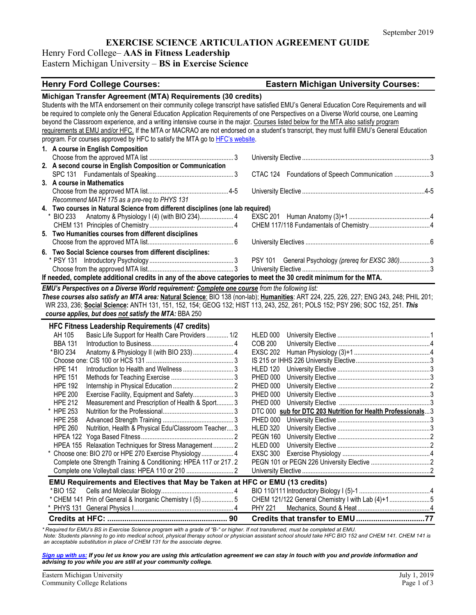### **EXERCISE SCIENCE ARTICULATION AGREEMENT GUIDE**

Henry Ford College– **AAS in Fitness Leadership**

Eastern Michigan University – **BS in Exercise Science**

## **Henry Ford College Courses: Eastern Michigan University Courses:**

| Michigan Transfer Agreement (MTA) Requirements (30 credits)                                                                             |  |                                                                                                                                            |  |
|-----------------------------------------------------------------------------------------------------------------------------------------|--|--------------------------------------------------------------------------------------------------------------------------------------------|--|
|                                                                                                                                         |  | Students with the MTA endorsement on their community college transcript have satisfied EMU's General Education Core Requirements and will  |  |
| be required to complete only the General Education Application Requirements of one Perspectives on a Diverse World course, one Learning |  |                                                                                                                                            |  |
| beyond the Classroom experience, and a writing intensive course in the major. Courses listed below for the MTA also satisfy program     |  |                                                                                                                                            |  |
|                                                                                                                                         |  | requirements at EMU and/or HFC. If the MTA or MACRAO are not endorsed on a student's transcript, they must fulfill EMU's General Education |  |
| program. For courses approved by HFC to satisfy the MTA go to HFC's website.                                                            |  |                                                                                                                                            |  |
| 1. A course in English Composition                                                                                                      |  |                                                                                                                                            |  |
|                                                                                                                                         |  |                                                                                                                                            |  |
| 2. A second course in English Composition or Communication                                                                              |  |                                                                                                                                            |  |
|                                                                                                                                         |  | CTAC 124 Foundations of Speech Communication 3                                                                                             |  |
| 3. A course in Mathematics                                                                                                              |  |                                                                                                                                            |  |
|                                                                                                                                         |  |                                                                                                                                            |  |
| Recommend MATH 175 as a pre-req to PHYS 131                                                                                             |  |                                                                                                                                            |  |
| 4. Two courses in Natural Science from different disciplines (one lab required)                                                         |  |                                                                                                                                            |  |
| Anatomy & Physiology I (4) (with BIO 234) 4<br>* BIO 233                                                                                |  |                                                                                                                                            |  |
|                                                                                                                                         |  |                                                                                                                                            |  |
| 5. Two Humanities courses from different disciplines                                                                                    |  |                                                                                                                                            |  |
|                                                                                                                                         |  |                                                                                                                                            |  |
| 6. Two Social Science courses from different disciplines:                                                                               |  |                                                                                                                                            |  |
|                                                                                                                                         |  | PSY 101 General Psychology (prereq for EXSC 380)3                                                                                          |  |
|                                                                                                                                         |  |                                                                                                                                            |  |
| If needed, complete additional credits in any of the above categories to meet the 30 credit minimum for the MTA.                        |  |                                                                                                                                            |  |
| EMU's Perspectives on a Diverse World requirement: Complete one course from the following list:                                         |  |                                                                                                                                            |  |
|                                                                                                                                         |  | These courses also satisfy an MTA area: Natural Science: BIO 138 (non-lab); Humanities: ART 224, 225, 226, 227; ENG 243, 248; PHIL 201;    |  |
| WR 233, 236; Social Science: ANTH 131, 151, 152, 154; GEOG 132; HIST 113, 243, 252, 261; POLS 152; PSY 296; SOC 152, 251. This          |  |                                                                                                                                            |  |
| course applies, but does not satisfy the MTA: BBA 250                                                                                   |  |                                                                                                                                            |  |
|                                                                                                                                         |  |                                                                                                                                            |  |
| <b>HFC Fitness Leadership Requirements (47 credits)</b>                                                                                 |  |                                                                                                                                            |  |
| Basic Life Support for Health Care Providers  1/2<br>AH 105<br><b>BBA 131</b>                                                           |  | HLED 000                                                                                                                                   |  |
|                                                                                                                                         |  | <b>COB 200</b>                                                                                                                             |  |
| Anatomy & Physiology II (with BIO 233)  4<br>* BIO 234                                                                                  |  | <b>EXSC 202</b>                                                                                                                            |  |
| <b>HPE 141</b>                                                                                                                          |  |                                                                                                                                            |  |
| <b>HPE 151</b>                                                                                                                          |  | <b>HLED 120</b><br><b>PHED 000</b>                                                                                                         |  |
|                                                                                                                                         |  |                                                                                                                                            |  |
| <b>HPE 192</b><br><b>HPE 200</b>                                                                                                        |  | <b>PHED 000</b>                                                                                                                            |  |
| Exercise Facility, Equipment and Safety 3<br><b>HPE 212</b>                                                                             |  | <b>PHED 000</b><br><b>PHED 000</b>                                                                                                         |  |
| Measurement and Prescription of Health & Sport 3<br>* HPE 253                                                                           |  |                                                                                                                                            |  |
|                                                                                                                                         |  | DTC 000 sub for DTC 203 Nutrition for Health Professionals3                                                                                |  |
| <b>HPE 258</b><br><b>HPE 260</b>                                                                                                        |  | PHED 000<br><b>HLED 320</b>                                                                                                                |  |
| Nutrition, Health & Physical Edu/Classroom Teacher 3                                                                                    |  |                                                                                                                                            |  |
|                                                                                                                                         |  | <b>PEGN 160</b>                                                                                                                            |  |
| HPEA 155 Relaxation Techniques for Stress Management 2                                                                                  |  | HLED 000                                                                                                                                   |  |
| * Choose one: BIO 270 or HPE 270 Exercise Physiology 4                                                                                  |  |                                                                                                                                            |  |
| Complete one Strength Training & Conditioning: HPEA 117 or 217.2                                                                        |  |                                                                                                                                            |  |
|                                                                                                                                         |  |                                                                                                                                            |  |
| EMU Requirements and Electives that May be Taken at HFC or EMU (13 credits)                                                             |  |                                                                                                                                            |  |
| *BIO 152                                                                                                                                |  |                                                                                                                                            |  |
| * CHEM 141 Prin of General & Inorganic Chemistry I (5)  5                                                                               |  | CHEM 121/122 General Chemistry I with Lab (4)+15                                                                                           |  |
|                                                                                                                                         |  | <b>PHY 221</b>                                                                                                                             |  |
|                                                                                                                                         |  | Credits that transfer to EMU77                                                                                                             |  |
|                                                                                                                                         |  |                                                                                                                                            |  |

*\* Required for EMU's BS in Exercise Science program with a grade of "B-" or higher. If not transferred, must be completed at EMU. Note: Students planning to go into medical school, physical therapy school or physician assistant school should take HFC BIO 152 and CHEM 141. CHEM 141 is an acceptable substitution in place of CHEM 131 for the associate degree.*

*[Sign up with us:](https://www.emich.edu/ccr/articulation-agreements/signup.php) If you let us know you are using this articulation agreement we can stay in touch with you and provide information and advising to you while you are still at your community college.*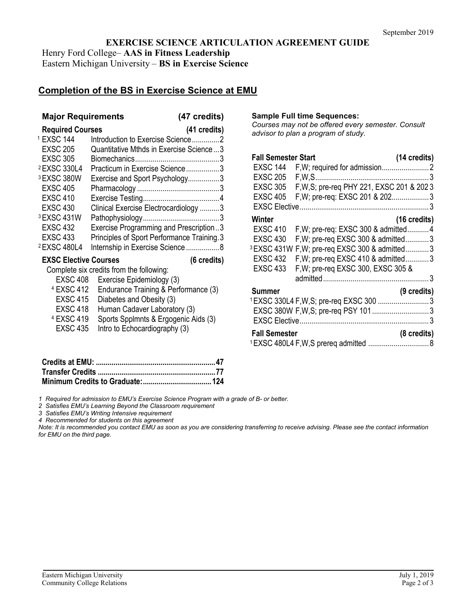**EXERCISE SCIENCE ARTICULATION AGREEMENT GUIDE** Henry Ford College– **AAS in Fitness Leadership** Eastern Michigan University – **BS in Exercise Science**

# **Completion of the BS in Exercise Science at EMU**

## **Major Requirements (47 credits)**

| <b>Required Courses</b>      |                                            | (41 credits) |
|------------------------------|--------------------------------------------|--------------|
| <sup>1</sup> EXSC 144        | Introduction to Exercise Science2          |              |
| <b>EXSC 205</b>              | Quantitative Mthds in Exercise Science3    |              |
| <b>EXSC 305</b>              |                                            |              |
| <sup>2</sup> EXSC 330L4      | Practicum in Exercise Science3             |              |
| <sup>3</sup> EXSC 380W       | Exercise and Sport Psychology3             |              |
| <b>EXSC 405</b>              |                                            |              |
| <b>EXSC 410</b>              |                                            |              |
| <b>EXSC 430</b>              | Clinical Exercise Electrocardiology 3      |              |
| <sup>3</sup> EXSC 431W       |                                            |              |
| <b>EXSC 432</b>              | Exercise Programming and Prescription3     |              |
| <b>EXSC 433</b>              | Principles of Sport Performance Training.3 |              |
| <sup>2</sup> EXSC 480L4      | Internship in Exercise Science8            |              |
| <b>EXSC Elective Courses</b> |                                            | (6 credits)  |

Complete six credits from the following:

| EXSC 408              | Exercise Epidemiology (3)            |
|-----------------------|--------------------------------------|
| <sup>4</sup> EXSC 412 | Endurance Training & Performance (3) |

|                       | <sup>4</sup> EXSC 412 Endurance Training & Performance (3 |
|-----------------------|-----------------------------------------------------------|
| <b>EXSC 415</b>       | Diabetes and Obesity (3)                                  |
| <b>EXSC 418</b>       | Human Cadaver Laboratory (3)                              |
| <sup>4</sup> EXSC 419 | Sports Spplmnts & Ergogenic Aids (3)                      |
| <b>EXSC 435</b>       | Intro to Echocardiography (3)                             |

**Sample Full time Sequences:**

*Courses may not be offered every semester. Consult advisor to plan a program of study.*

| <b>Fall Semester Start</b> |                                                           | (14 credits)           |
|----------------------------|-----------------------------------------------------------|------------------------|
| <b>EXSC 144</b>            |                                                           |                        |
| <b>EXSC 205</b>            |                                                           |                        |
| <b>EXSC 305</b>            | F, W, S; pre-req PHY 221, EXSC 201 & 202 3                |                        |
| <b>EXSC 405</b>            | F, W; pre-req: EXSC 201 & 202 3                           |                        |
|                            |                                                           |                        |
| Winter                     |                                                           | $(16 \text{ credits})$ |
| <b>EXSC 410</b>            | F, W; pre-req: EXSC 300 & admitted4                       |                        |
| <b>EXSC 430</b>            | F, W; pre-req EXSC 300 & admitted3                        |                        |
|                            | <sup>3</sup> EXSC 431W F, W; pre-reg EXSC 300 & admitted3 |                        |
| <b>EXSC 432</b>            | F, W; pre-req EXSC 410 & admitted3                        |                        |
| <b>EXSC 433</b>            | F, W; pre-req EXSC 300, EXSC 305 &                        |                        |
|                            |                                                           |                        |
| Summer                     |                                                           | (9 credits)            |
|                            | <sup>1</sup> EXSC 330L4 F, W, S; pre-req EXSC 300 3       |                        |
|                            | EXSC 380W F, W, S; pre-req PSY 1013                       |                        |
|                            |                                                           |                        |
| <b>Fall Semester</b>       |                                                           | (8 credits)            |
|                            |                                                           |                        |

*1 Required for admission to EMU's Exercise Science Program with a grade of B- or better.*

*2 Satisfies EMU's Learning Beyond the Classroom requirement*

*3 Satisfies EMU's Writing Intensive requirement*

*4 Recommended for students on this agreement*

*Note: It is recommended you contact EMU as soon as you are considering transferring to receive advising. Please see the contact information for EMU on the third page.*